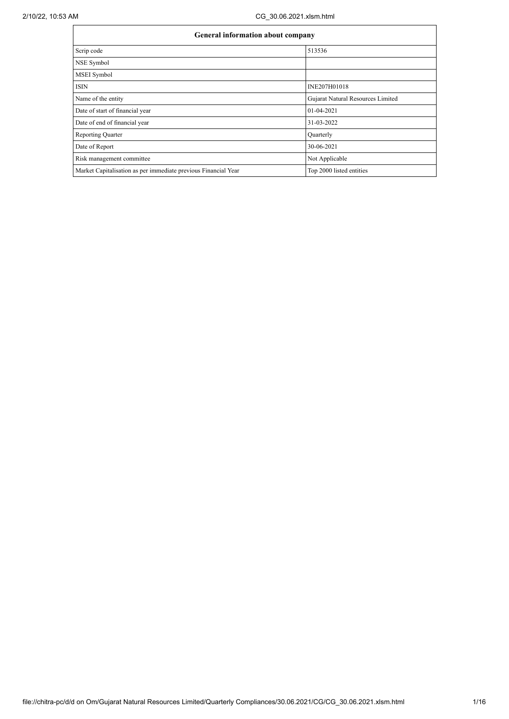| General information about company                              |                                   |  |  |  |  |  |
|----------------------------------------------------------------|-----------------------------------|--|--|--|--|--|
| Scrip code                                                     | 513536                            |  |  |  |  |  |
| NSE Symbol                                                     |                                   |  |  |  |  |  |
| <b>MSEI</b> Symbol                                             |                                   |  |  |  |  |  |
| <b>ISIN</b>                                                    | INE207H01018                      |  |  |  |  |  |
| Name of the entity                                             | Gujarat Natural Resources Limited |  |  |  |  |  |
| Date of start of financial year                                | 01-04-2021                        |  |  |  |  |  |
| Date of end of financial year                                  | 31-03-2022                        |  |  |  |  |  |
| <b>Reporting Quarter</b>                                       | Quarterly                         |  |  |  |  |  |
| Date of Report                                                 | 30-06-2021                        |  |  |  |  |  |
| Risk management committee                                      | Not Applicable                    |  |  |  |  |  |
| Market Capitalisation as per immediate previous Financial Year | Top 2000 listed entities          |  |  |  |  |  |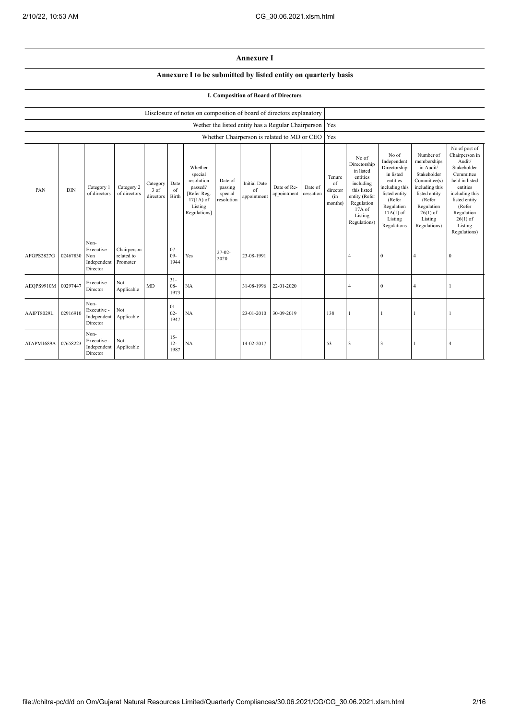## **Annexure I**

## **Annexure I to be submitted by listed entity on quarterly basis**

## **I. Composition of Board of Directors**

|                     |            |                                                       |                                       |                               |                          | Disclosure of notes on composition of board of directors explanatory                                 |                                             |                                          |                                                    |                      |                                            |                                                                                                                                                |                                                                                                                                                                   |                                                                                                                                                                          |                                                                                                                                                                                                         |
|---------------------|------------|-------------------------------------------------------|---------------------------------------|-------------------------------|--------------------------|------------------------------------------------------------------------------------------------------|---------------------------------------------|------------------------------------------|----------------------------------------------------|----------------------|--------------------------------------------|------------------------------------------------------------------------------------------------------------------------------------------------|-------------------------------------------------------------------------------------------------------------------------------------------------------------------|--------------------------------------------------------------------------------------------------------------------------------------------------------------------------|---------------------------------------------------------------------------------------------------------------------------------------------------------------------------------------------------------|
|                     |            |                                                       |                                       |                               |                          |                                                                                                      |                                             |                                          | Wether the listed entity has a Regular Chairperson |                      | Yes                                        |                                                                                                                                                |                                                                                                                                                                   |                                                                                                                                                                          |                                                                                                                                                                                                         |
|                     |            |                                                       |                                       |                               |                          |                                                                                                      |                                             |                                          | Whether Chairperson is related to MD or CEO        |                      | Yes                                        |                                                                                                                                                |                                                                                                                                                                   |                                                                                                                                                                          |                                                                                                                                                                                                         |
| PAN                 | <b>DIN</b> | Category 1<br>of directors                            | Category 2<br>of directors            | Category<br>3 of<br>directors | Date<br>of<br>Birth      | Whether<br>special<br>resolution<br>passed?<br>[Refer Reg.<br>$17(1A)$ of<br>Listing<br>Regulations] | Date of<br>passing<br>special<br>resolution | <b>Initial Date</b><br>of<br>appointment | Date of Re-<br>appointment                         | Date of<br>cessation | Tenure<br>of<br>director<br>(in<br>months) | No of<br>Directorship<br>in listed<br>entities<br>including<br>this listed<br>entity (Refer<br>Regulation<br>17A of<br>Listing<br>Regulations) | No of<br>Independent<br>Directorship<br>in listed<br>entities<br>including this<br>listed entity<br>(Refer<br>Regulation<br>$17A(1)$ of<br>Listing<br>Regulations | Number of<br>memberships<br>in Audit/<br>Stakeholder<br>Committee(s)<br>including this<br>listed entity<br>(Refer<br>Regulation<br>$26(1)$ of<br>Listing<br>Regulations) | No of post of<br>Chairperson in<br>Audit/<br>Stakeholder<br>Committee<br>held in listed<br>entities<br>including this<br>listed entity<br>(Refer<br>Regulation<br>$26(1)$ of<br>Listing<br>Regulations) |
| AFGPS2827G          | 02467830   | Non-<br>Executive -<br>Non<br>Independent<br>Director | Chairperson<br>related to<br>Promoter |                               | $07 -$<br>$09 -$<br>1944 | Yes                                                                                                  | $27-02-$<br>2020                            | 23-08-1991                               |                                                    |                      |                                            | $\overline{4}$                                                                                                                                 | $\mathbf{0}$                                                                                                                                                      | $\overline{4}$                                                                                                                                                           | $\theta$                                                                                                                                                                                                |
| AEOPS9910M 00297447 |            | Executive<br>Director                                 | Not<br>Applicable                     | MD                            | $31 -$<br>$08 -$<br>1973 | NA                                                                                                   |                                             | 31-08-1996                               | 22-01-2020                                         |                      |                                            | $\overline{4}$                                                                                                                                 | $\mathbf{0}$                                                                                                                                                      | $\overline{4}$                                                                                                                                                           |                                                                                                                                                                                                         |
| AAIPT8029L          | 02916910   | Non-<br>Executive -<br>Independent<br>Director        | Not<br>Applicable                     |                               | $01 -$<br>$02 -$<br>1947 | NA                                                                                                   |                                             | 23-01-2010                               | 30-09-2019                                         |                      | 138                                        |                                                                                                                                                |                                                                                                                                                                   |                                                                                                                                                                          |                                                                                                                                                                                                         |
| ATAPM1689A          | 07658223   | Non-<br>Executive -<br>Independent<br>Director        | Not<br>Applicable                     |                               | $15 -$<br>$12 -$<br>1987 | NA                                                                                                   |                                             | 14-02-2017                               |                                                    |                      | 53                                         | $\overline{\mathbf{3}}$                                                                                                                        | 3                                                                                                                                                                 |                                                                                                                                                                          | $\overline{4}$                                                                                                                                                                                          |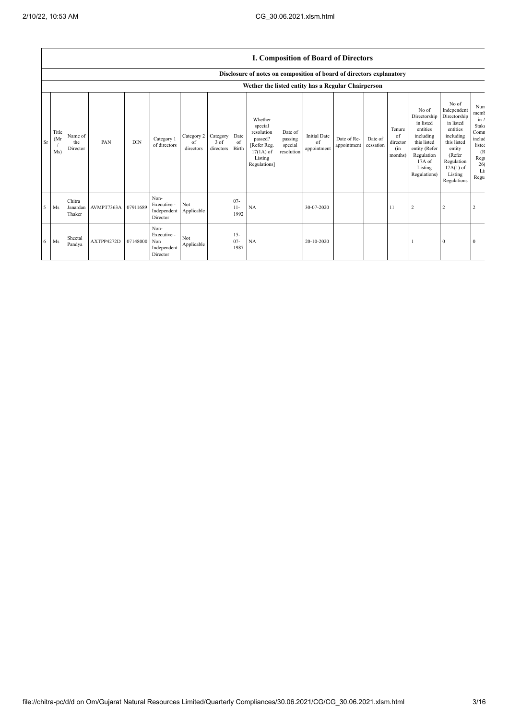|    |                      |                              |            |            |                                                       |                               |                               |                          |                                                                                                      |                                             |                                          | <b>I. Composition of Board of Directors</b> |                      |                                            |                                                                                                                                                |                                                                                                                                                                      |                                                                                                  |
|----|----------------------|------------------------------|------------|------------|-------------------------------------------------------|-------------------------------|-------------------------------|--------------------------|------------------------------------------------------------------------------------------------------|---------------------------------------------|------------------------------------------|---------------------------------------------|----------------------|--------------------------------------------|------------------------------------------------------------------------------------------------------------------------------------------------|----------------------------------------------------------------------------------------------------------------------------------------------------------------------|--------------------------------------------------------------------------------------------------|
|    |                      |                              |            |            |                                                       |                               |                               |                          | Disclosure of notes on composition of board of directors explanatory                                 |                                             |                                          |                                             |                      |                                            |                                                                                                                                                |                                                                                                                                                                      |                                                                                                  |
|    |                      |                              |            |            |                                                       |                               |                               |                          | Wether the listed entity has a Regular Chairperson                                                   |                                             |                                          |                                             |                      |                                            |                                                                                                                                                |                                                                                                                                                                      |                                                                                                  |
| Sr | Title<br>(Mr)<br>Ms) | Name of<br>the<br>Director   | PAN        | <b>DIN</b> | Category 1<br>of directors                            | Category 2<br>of<br>directors | Category<br>3 of<br>directors | Date<br>of<br>Birth      | Whether<br>special<br>resolution<br>passed?<br>[Refer Reg.<br>$17(1A)$ of<br>Listing<br>Regulations] | Date of<br>passing<br>special<br>resolution | <b>Initial Date</b><br>of<br>appointment | Date of Re-<br>appointment                  | Date of<br>cessation | Tenure<br>of<br>director<br>(in<br>months) | No of<br>Directorship<br>in listed<br>entities<br>including<br>this listed<br>entity (Refer<br>Regulation<br>17A of<br>Listing<br>Regulations) | No of<br>Independent<br>Directorship<br>in listed<br>entities<br>including<br>this listed<br>entity<br>(Refer<br>Regulation<br>$17A(1)$ of<br>Listing<br>Regulations | Nun<br>memb<br>$\ln A$<br>Stake<br>Comn<br>includ<br>listec<br>(R)<br>Regi<br>26(<br>Li:<br>Regu |
| -5 | Ms                   | Chitra<br>Janardan<br>Thaker | AVMPT7363A | 07911689   | Non-<br>Executive -<br>Independent<br>Director        | Not<br>Applicable             |                               | $07 -$<br>$11 -$<br>1992 | NA                                                                                                   |                                             | 30-07-2020                               |                                             |                      | 11                                         | $\overline{2}$                                                                                                                                 | 2                                                                                                                                                                    | 2                                                                                                |
| 6  | Ms                   | Sheetal<br>Pandya            | AXTPP4272D | 07148000   | Non-<br>Executive -<br>Non<br>Independent<br>Director | Not<br>Applicable             |                               | $15 -$<br>$07 -$<br>1987 | NA                                                                                                   |                                             | 20-10-2020                               |                                             |                      |                                            |                                                                                                                                                | $\bf{0}$                                                                                                                                                             | $\Omega$                                                                                         |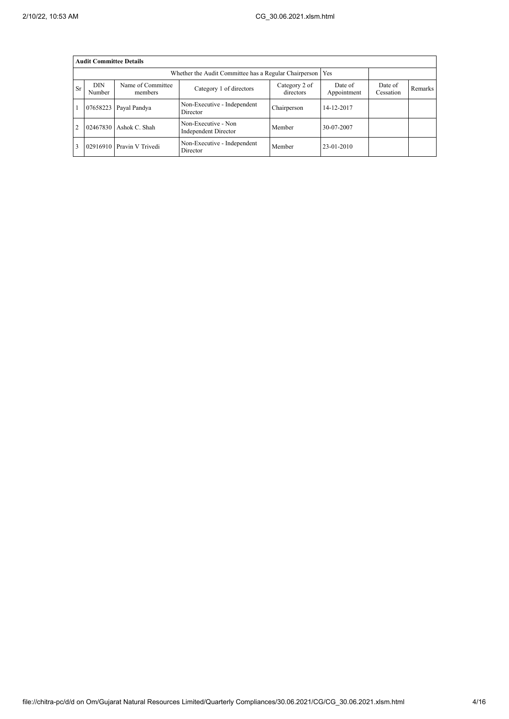|                | <b>Audit Committee Details</b>                                                                                |                  |                                                             |             |                        |                      |         |  |  |  |  |
|----------------|---------------------------------------------------------------------------------------------------------------|------------------|-------------------------------------------------------------|-------------|------------------------|----------------------|---------|--|--|--|--|
|                |                                                                                                               |                  | Whether the Audit Committee has a Regular Chairperson   Yes |             |                        |                      |         |  |  |  |  |
| <b>Sr</b>      | <b>DIN</b><br>Name of Committee<br>Category 2 of<br>Category 1 of directors<br>directors<br>Number<br>members |                  |                                                             |             | Date of<br>Appointment | Date of<br>Cessation | Remarks |  |  |  |  |
|                | 07658223                                                                                                      | Payal Pandya     | Non-Executive - Independent<br>Director                     | Chairperson | 14-12-2017             |                      |         |  |  |  |  |
| $\overline{2}$ | 02467830                                                                                                      | Ashok C. Shah    | Non-Executive - Non<br>Independent Director                 | Member      | 30-07-2007             |                      |         |  |  |  |  |
|                | 02916910                                                                                                      | Pravin V Trivedi | Non-Executive - Independent<br>Director                     | Member      | 23-01-2010             |                      |         |  |  |  |  |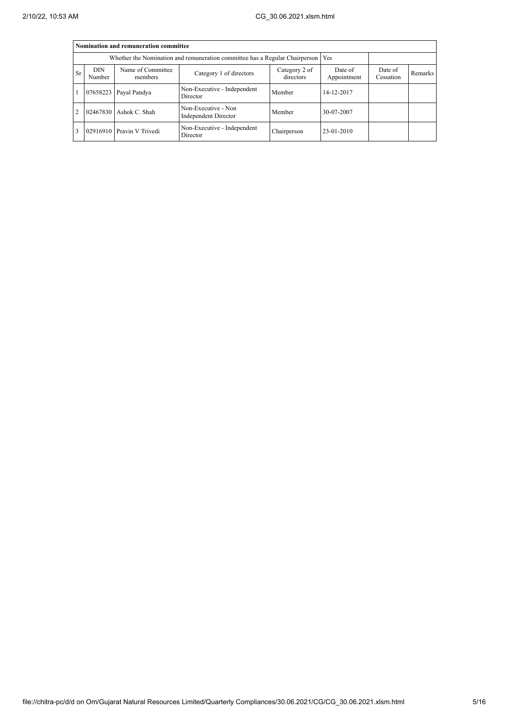|                                                                                   | Nomination and remuneration committee |                              |                                                    |                        |                      |                |  |  |  |  |  |
|-----------------------------------------------------------------------------------|---------------------------------------|------------------------------|----------------------------------------------------|------------------------|----------------------|----------------|--|--|--|--|--|
| Whether the Nomination and remuneration committee has a Regular Chairperson   Yes |                                       |                              |                                                    |                        |                      |                |  |  |  |  |  |
| <b>Sr</b>                                                                         | <b>DIN</b><br>Number                  | Name of Committee<br>members | Category 2 of<br>directors                         | Date of<br>Appointment | Date of<br>Cessation | <b>Remarks</b> |  |  |  |  |  |
|                                                                                   | 07658223                              | Payal Pandya                 | Non-Executive - Independent<br>Director            | Member                 | 14-12-2017           |                |  |  |  |  |  |
| $\overline{2}$                                                                    |                                       | 02467830 Ashok C. Shah       | Non-Executive - Non<br><b>Independent Director</b> | Member                 | 30-07-2007           |                |  |  |  |  |  |
| 3                                                                                 |                                       | 02916910 Pravin V Trivedi    | Non-Executive - Independent<br>Director            | Chairperson            | $23-01-2010$         |                |  |  |  |  |  |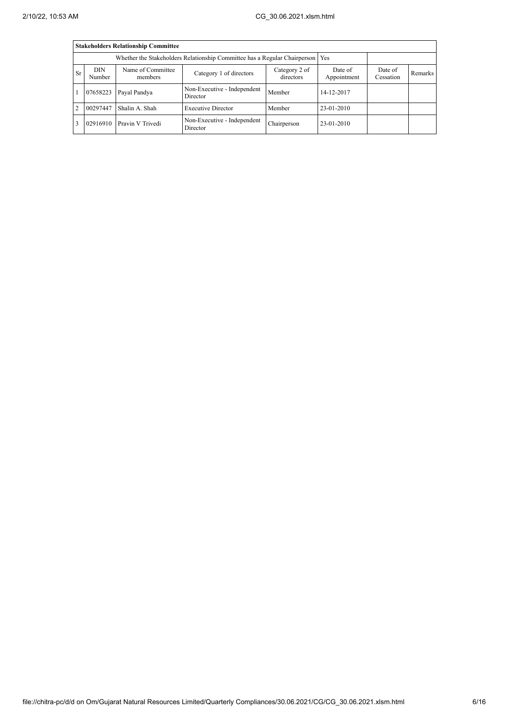|                | <b>Stakeholders Relationship Committee</b>                                       |                              |                                         |                      |              |  |  |  |  |  |  |
|----------------|----------------------------------------------------------------------------------|------------------------------|-----------------------------------------|----------------------|--------------|--|--|--|--|--|--|
|                | Whether the Stakeholders Relationship Committee has a Regular Chairperson<br>Yes |                              |                                         |                      |              |  |  |  |  |  |  |
| <b>Sr</b>      | <b>DIN</b><br>Number                                                             | Name of Committee<br>members | Date of<br>Appointment                  | Date of<br>Cessation | Remarks      |  |  |  |  |  |  |
|                | 07658223                                                                         | Payal Pandya                 | Non-Executive - Independent<br>Director | Member               | 14-12-2017   |  |  |  |  |  |  |
| $\overline{2}$ | 00297447                                                                         | Shalin A. Shah               | <b>Executive Director</b>               | Member               | 23-01-2010   |  |  |  |  |  |  |
| 3              | 02916910                                                                         | Pravin V Trivedi             | Non-Executive - Independent<br>Director | Chairperson          | $23-01-2010$ |  |  |  |  |  |  |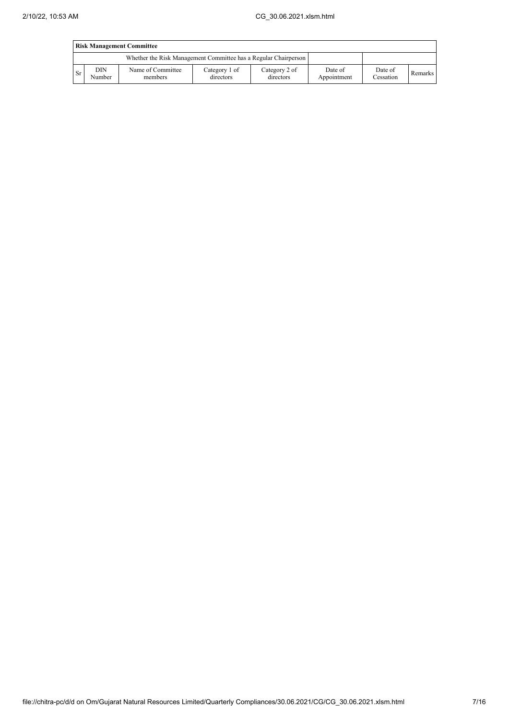|      | <b>Risk Management Committee</b> |                                                                 |                            |                            |                        |                      |         |  |  |
|------|----------------------------------|-----------------------------------------------------------------|----------------------------|----------------------------|------------------------|----------------------|---------|--|--|
|      |                                  | Whether the Risk Management Committee has a Regular Chairperson |                            |                            |                        |                      |         |  |  |
| l Sr | DIN<br>Number                    | Name of Committee<br>members                                    | Category 1 of<br>directors | Category 2 of<br>directors | Date of<br>Appointment | Date of<br>Cessation | Remarks |  |  |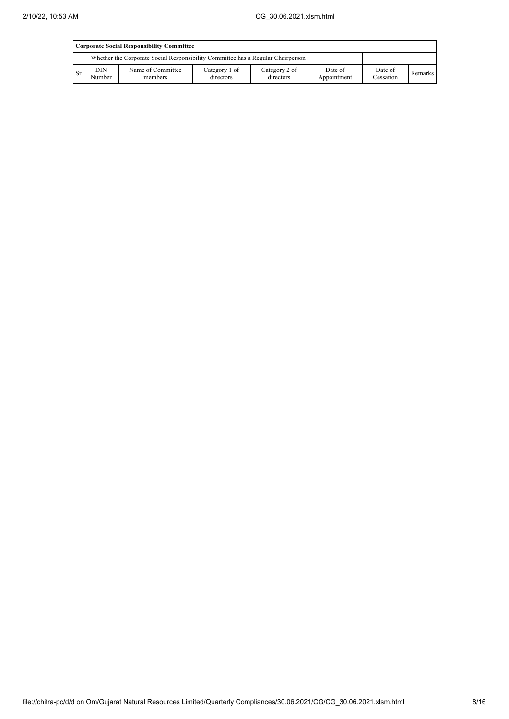|           | Corporate Social Responsibility Committee |                                                                                 |                            |                            |                        |                      |         |  |  |
|-----------|-------------------------------------------|---------------------------------------------------------------------------------|----------------------------|----------------------------|------------------------|----------------------|---------|--|--|
|           |                                           | Whether the Corporate Social Responsibility Committee has a Regular Chairperson |                            |                            |                        |                      |         |  |  |
| <b>Sr</b> | DIN.<br>Number                            | Name of Committee<br>members                                                    | Category 1 of<br>directors | Category 2 of<br>directors | Date of<br>Appointment | Date of<br>Cessation | Remarks |  |  |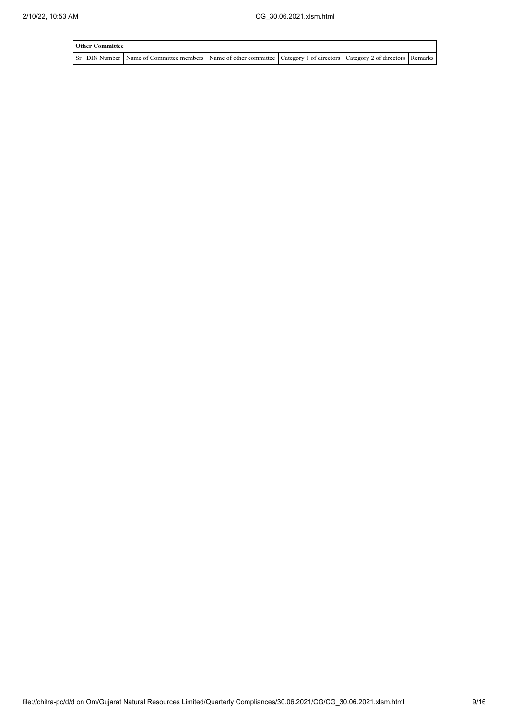| <b>Other Committee</b> |                                                                                                                                     |  |  |
|------------------------|-------------------------------------------------------------------------------------------------------------------------------------|--|--|
|                        | Sr   DIN Number   Name of Committee members   Name of other committee   Category 1 of directors   Category 2 of directors   Remarks |  |  |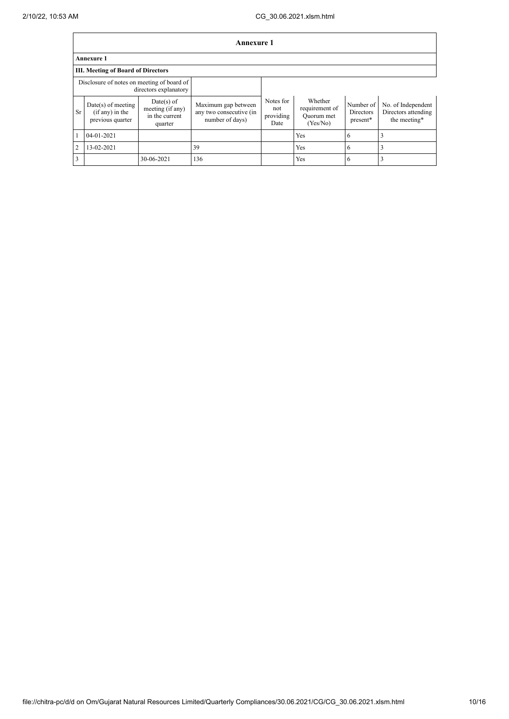|                | <b>Annexure 1</b>                                             |                                                               |                                                                   |                                       |                                                     |                                    |                                                           |  |
|----------------|---------------------------------------------------------------|---------------------------------------------------------------|-------------------------------------------------------------------|---------------------------------------|-----------------------------------------------------|------------------------------------|-----------------------------------------------------------|--|
|                | <b>Annexure 1</b>                                             |                                                               |                                                                   |                                       |                                                     |                                    |                                                           |  |
|                | <b>III. Meeting of Board of Directors</b>                     |                                                               |                                                                   |                                       |                                                     |                                    |                                                           |  |
|                | Disclosure of notes on meeting of board of                    | directors explanatory                                         |                                                                   |                                       |                                                     |                                    |                                                           |  |
| <b>Sr</b>      | $Date(s)$ of meeting<br>$(if any)$ in the<br>previous quarter | $Date(s)$ of<br>meeting (if any)<br>in the current<br>quarter | Maximum gap between<br>any two consecutive (in<br>number of days) | Notes for<br>not<br>providing<br>Date | Whether<br>requirement of<br>Ouorum met<br>(Yes/No) | Number of<br>Directors<br>present* | No. of Independent<br>Directors attending<br>the meeting* |  |
|                | $04 - 01 - 2021$                                              |                                                               |                                                                   |                                       | Yes                                                 | 6                                  |                                                           |  |
| $\overline{2}$ | 13-02-2021                                                    |                                                               | 39                                                                |                                       | Yes                                                 | 6                                  |                                                           |  |
| 3              |                                                               | 30-06-2021                                                    | 136                                                               |                                       | Yes                                                 | 6                                  |                                                           |  |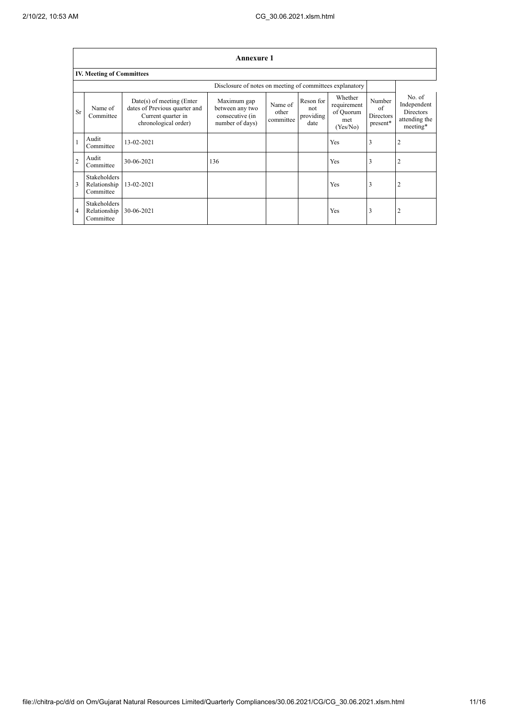$\overline{1}$ 

٦

|                | <b>Annexure 1</b>                                |                                                                                                            |                                                                      |                               |                                       |                                                        |                                              |                                                                        |  |  |
|----------------|--------------------------------------------------|------------------------------------------------------------------------------------------------------------|----------------------------------------------------------------------|-------------------------------|---------------------------------------|--------------------------------------------------------|----------------------------------------------|------------------------------------------------------------------------|--|--|
|                | <b>IV. Meeting of Committees</b>                 |                                                                                                            |                                                                      |                               |                                       |                                                        |                                              |                                                                        |  |  |
|                |                                                  |                                                                                                            | Disclosure of notes on meeting of committees explanatory             |                               |                                       |                                                        |                                              |                                                                        |  |  |
| <b>Sr</b>      | Name of<br>Committee                             | $Date(s)$ of meeting (Enter<br>dates of Previous quarter and<br>Current quarter in<br>chronological order) | Maximum gap<br>between any two<br>consecutive (in<br>number of days) | Name of<br>other<br>committee | Reson for<br>not<br>providing<br>date | Whether<br>requirement<br>of Quorum<br>met<br>(Yes/No) | Number<br>of<br><b>Directors</b><br>present* | No. of<br>Independent<br><b>Directors</b><br>attending the<br>meeting* |  |  |
|                | Audit<br>Committee                               | 13-02-2021                                                                                                 |                                                                      |                               |                                       | Yes                                                    | 3                                            | $\overline{2}$                                                         |  |  |
| $\overline{2}$ | Audit<br>Committee                               | 30-06-2021                                                                                                 | 136                                                                  |                               |                                       | Yes                                                    | 3                                            | $\overline{2}$                                                         |  |  |
| 3              | <b>Stakeholders</b><br>Relationship<br>Committee | 13-02-2021                                                                                                 |                                                                      |                               |                                       | Yes                                                    | 3                                            | $\overline{2}$                                                         |  |  |
| 4              | <b>Stakeholders</b><br>Relationship<br>Committee | 30-06-2021                                                                                                 |                                                                      |                               |                                       | Yes                                                    | 3                                            | 2                                                                      |  |  |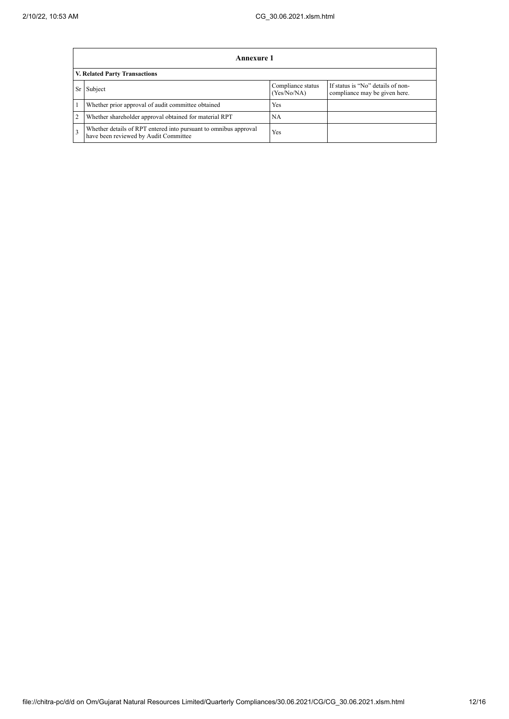|   | Annexure 1                                                                                                |                                  |                                                                    |  |  |  |  |  |
|---|-----------------------------------------------------------------------------------------------------------|----------------------------------|--------------------------------------------------------------------|--|--|--|--|--|
|   | <b>V. Related Party Transactions</b>                                                                      |                                  |                                                                    |  |  |  |  |  |
|   | Subject<br>Sr                                                                                             | Compliance status<br>(Yes/No/NA) | If status is "No" details of non-<br>compliance may be given here. |  |  |  |  |  |
|   | Whether prior approval of audit committee obtained                                                        | Yes                              |                                                                    |  |  |  |  |  |
| 2 | Whether shareholder approval obtained for material RPT                                                    | NA                               |                                                                    |  |  |  |  |  |
| 3 | Whether details of RPT entered into pursuant to omnibus approval<br>have been reviewed by Audit Committee | Yes                              |                                                                    |  |  |  |  |  |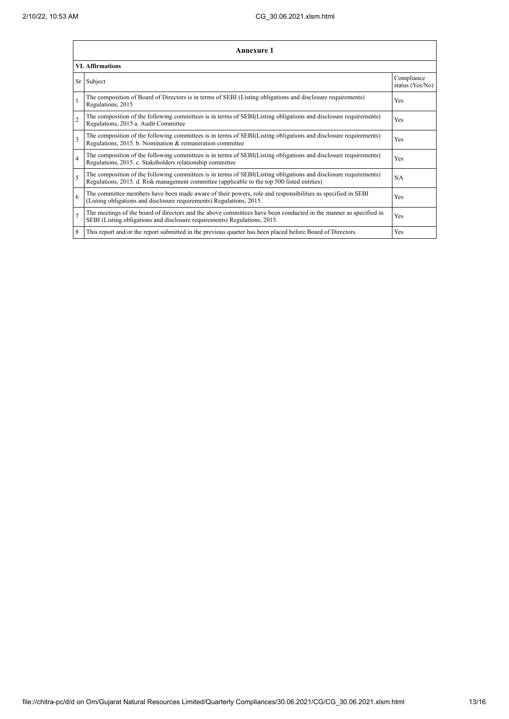|                          | <b>Annexure 1</b>                                                                                                                                                                                               |                               |  |  |  |
|--------------------------|-----------------------------------------------------------------------------------------------------------------------------------------------------------------------------------------------------------------|-------------------------------|--|--|--|
| <b>VI.</b> Affirmations  |                                                                                                                                                                                                                 |                               |  |  |  |
|                          | Sr Subject                                                                                                                                                                                                      | Compliance<br>status (Yes/No) |  |  |  |
|                          | The composition of Board of Directors is in terms of SEBI (Listing obligations and disclosure requirements)<br>Regulations, 2015                                                                                | Yes                           |  |  |  |
| $\overline{2}$           | The composition of the following committees is in terms of SEBI(Listing obligations and disclosure requirements)<br>Regulations, 2015 a. Audit Committee                                                        | Yes                           |  |  |  |
| $\mathbf{3}$             | The composition of the following committees is in terms of SEBI(Listing obligations and disclosure requirements)<br>Regulations, 2015. b. Nomination & remuneration committee                                   | Yes                           |  |  |  |
| $\overline{4}$           | The composition of the following committees is in terms of SEBI(Listing obligations and disclosure requirements)<br>Regulations, 2015. c. Stakeholders relationship committee                                   | Yes                           |  |  |  |
| $\overline{\phantom{0}}$ | The composition of the following committees is in terms of SEBI(Listing obligations and disclosure requirements)<br>Regulations, 2015. d. Risk management committee (applicable to the top 500 listed entities) | NA                            |  |  |  |
| 6                        | The committee members have been made aware of their powers, role and responsibilities as specified in SEBI<br>(Listing obligations and disclosure requirements) Regulations, 2015.                              | Yes                           |  |  |  |
| $\overline{7}$           | The meetings of the board of directors and the above committees have been conducted in the manner as specified in<br>SEBI (Listing obligations and disclosure requirements) Regulations, 2015.                  | Yes                           |  |  |  |
| 8                        | This report and/or the report submitted in the previous quarter has been placed before Board of Directors.                                                                                                      | Yes                           |  |  |  |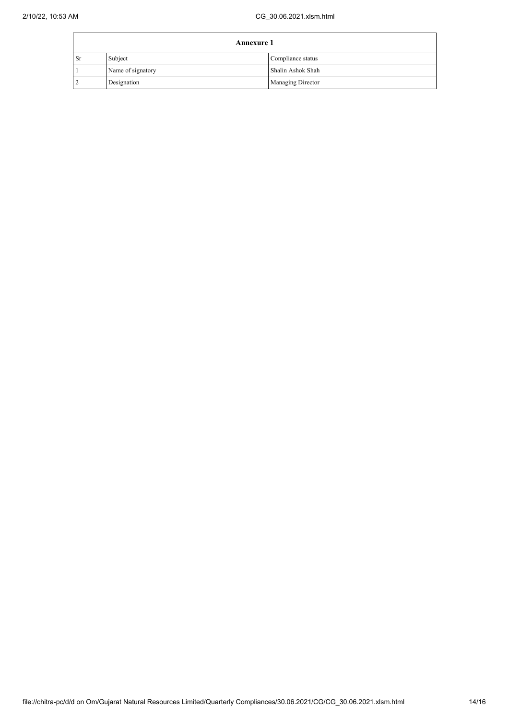| <b>Annexure 1</b> |                   |                   |
|-------------------|-------------------|-------------------|
| <b>Sr</b>         | Subject           | Compliance status |
|                   | Name of signatory | Shalin Ashok Shah |
|                   | Designation       | Managing Director |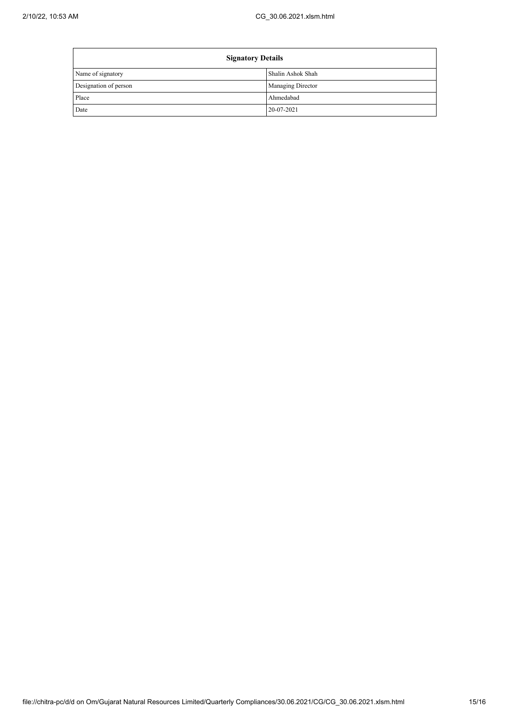$\mathbf{r}$ 

| <b>Signatory Details</b> |                          |  |
|--------------------------|--------------------------|--|
| Name of signatory        | Shalin Ashok Shah        |  |
| Designation of person    | <b>Managing Director</b> |  |
| Place                    | Ahmedabad                |  |
| Date                     | 20-07-2021               |  |